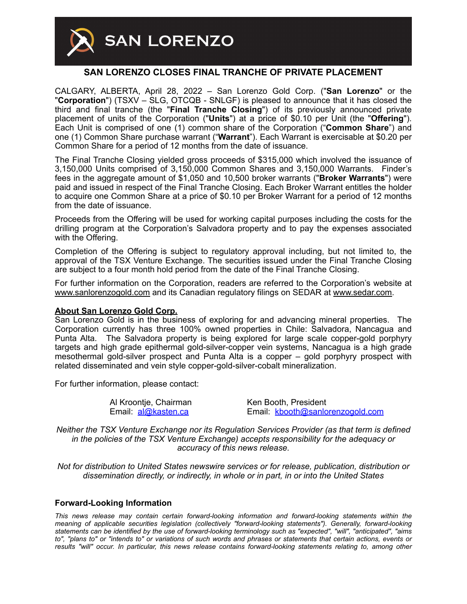

## **SAN LORENZO CLOSES FINAL TRANCHE OF PRIVATE PLACEMENT**

CALGARY, ALBERTA, April 28, 2022 – San Lorenzo Gold Corp. ("**San Lorenzo**" or the "**Corporation**") (TSXV – SLG, OTCQB - SNLGF) is pleased to announce that it has closed the third and final tranche (the "**Final Tranche Closing**") of its previously announced private placement of units of the Corporation ("**Units**") at a price of \$0.10 per Unit (the "**Offering**"). Each Unit is comprised of one (1) common share of the Corporation ("**Common Share**") and one (1) Common Share purchase warrant ("**Warrant**"). Each Warrant is exercisable at \$0.20 per Common Share for a period of 12 months from the date of issuance.

The Final Tranche Closing yielded gross proceeds of \$315,000 which involved the issuance of 3,150,000 Units comprised of 3,150,000 Common Shares and 3,150,000 Warrants. Finder's fees in the aggregate amount of \$1,050 and 10,500 broker warrants ("**Broker Warrants**") were paid and issued in respect of the Final Tranche Closing. Each Broker Warrant entitles the holder to acquire one Common Share at a price of \$0.10 per Broker Warrant for a period of 12 months from the date of issuance.

Proceeds from the Offering will be used for working capital purposes including the costs for the drilling program at the Corporation's Salvadora property and to pay the expenses associated with the Offering.

Completion of the Offering is subject to regulatory approval including, but not limited to, the approval of the TSX Venture Exchange. The securities issued under the Final Tranche Closing are subject to a four month hold period from the date of the Final Tranche Closing.

For further information on the Corporation, readers are referred to the Corporation's website at [www.sanlorenzogold.com](http://www.sanlorenzogold.com) and its Canadian regulatory filings on SEDAR at [www.sedar.com](http://www.sedar.com).

## **About San Lorenzo Gold Corp.**

San Lorenzo Gold is in the business of exploring for and advancing mineral properties. The Corporation currently has three 100% owned properties in Chile: Salvadora, Nancagua and Punta Alta. The Salvadora property is being explored for large scale copper-gold porphyry targets and high grade epithermal gold-silver-copper vein systems, Nancagua is a high grade mesothermal gold-silver prospect and Punta Alta is a copper – gold porphyry prospect with related disseminated and vein style copper-gold-silver-cobalt mineralization.

For further information, please contact:

Al Kroontje, Chairman Ken Booth, President<br>Email: al@kasten.ca Ken Booth, President

Email: [kbooth@sanlorenzogold.com](mailto:kbooth@sanlorenzogold.com)

*Neither the TSX Venture Exchange nor its Regulation Services Provider (as that term is defined in the policies of the TSX Venture Exchange) accepts responsibility for the adequacy or accuracy of this news release.*

*Not for distribution to United States newswire services or for release, publication, distribution or dissemination directly, or indirectly, in whole or in part, in or into the United States*

## **Forward-Looking Information**

*This news release may contain certain forward-looking information and forward-looking statements within the meaning of applicable securities legislation (collectively "forward-looking statements"). Generally, forward-looking statements can be identified by the use of forward-looking terminology such as "expected", "will", "anticipated", "aims to", "plans to" or "intends to" or variations of such words and phrases or statements that certain actions, events or*  results "will" occur. In particular, this news release contains forward-looking statements relating to, among other